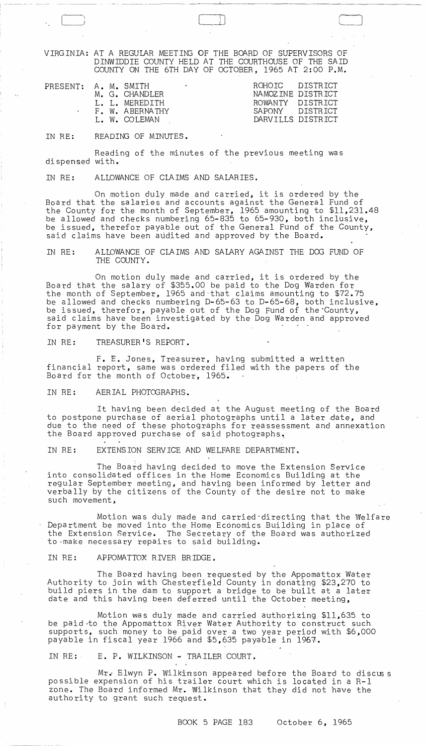VIRGINIA: AT A REGULAR MEETIl\G OF THE BOARD OF SUPERVISORS OF DINWIDDIE COUNTY HELD AT THE COURTHOUSE OF THE SAID COUNTY ON THE 6TH DAY OF OCTOBER, 1965 AT 2:00 P.M.

C\_J LJJ CJ

| PRESENT: A. M. SMITH |  | M. G. CHANDLER<br>L. L. MEREDITH<br>F. W. ABERNATHY | $\bullet$ | ROHOTC DISTRICT<br>ROWANTY DISTRICT<br>SAPONY DISTRICT | NAMOZINE DISTRICT |
|----------------------|--|-----------------------------------------------------|-----------|--------------------------------------------------------|-------------------|
|                      |  | L. W. COLEMAN                                       |           |                                                        | DARVILLS DISTRICT |

IN RE: READING OF MINUTES.

Reading of the minutes of the previous meeting was dispensed with.

IN RE: ALLOWANCE OF CLAIMS AND SALARIES.

On motion duly made and carried, it is ordered by the Board that the salaries and accounts against the General Fund of the County for the month of September, 1965 amounting to \$11,231.48 be allowed and checks numbering 65-835 to 65-930, both inclusive, be issued, therefor payable out of the General Fund of the County, said claims have been audited and approved by the Board.

IN RE: ALLOWANCE OF CLAIMS AND SALARY AGAINST THE DOG FUND OF THE COUNTY.

On motion duly made and carried, it is ordered by the Board that the salary of \$355.00 be paid to the Dog Warden for the month of September, 1965 and-that claims amounting to \$72.75 be allowed and checks numbering D-65-63 to D-65-68, both inclusive, be issued, therefor, payable out of the Dog Fund of the County, said claims have been investigated by the Dog Warden and approved for payment by the Board.

IN RE: TREASURER'S REPORT.

F. E. Jones, Treasurer, having submitted a written financial report, same was ordered filed with the papers of the Board for the month of October, 1965.

IN RE: AERIAL PHOTOGRAPHS.

It having been decided at the August meeting of the Board to postpone purchase of aerial photographs until a later date, and due to the need of these photographs for reassessment and annexation the Board approved purchase of said photographs.

IN RE: EXTENSION SERVICE AND WELFARE DEPARTMENT.

The Board having decided to move the Extension Service into consolidated offices in the Home Economics Building at the regular September meeting, and having been informed by letter and verbally by the citizens of the County of the desire not to make such movement,

Motion was duly made and carried directing that the Welfare Department be moved into the Home Economics Building in place of the Extension Service. The Secretary of the Board was authorized to make necessary repairs to said building.

IN RE: APPOMATTOX RIVER BRIDGE.

 $\frac{1}{4}$ 

The Board having been requested by the Appomattox Water Authority to join with Chesterfield County in donating \$23,270 to build piers in the dam to support a bridge to be built at a later date and this having been deferred until the October meeting,

Motion was duly made and carried authorizing \$11,635 to be paid to the Appomattox River Water Authority to construct such supports, such money to be paid over a two year period with \$6,000 payable in fiscal year 1966 and \$5,635 payable in 1967.

IN RE: E. P. WILKINSON - TRAILER COURT.

Mr. Elwyn P. Wilkinson appeared before the Board to discuss possible expension of his trailer court which is located in a R-l zone. The Board informed Mr. Wilkinson that they did not have the authority to grant such request.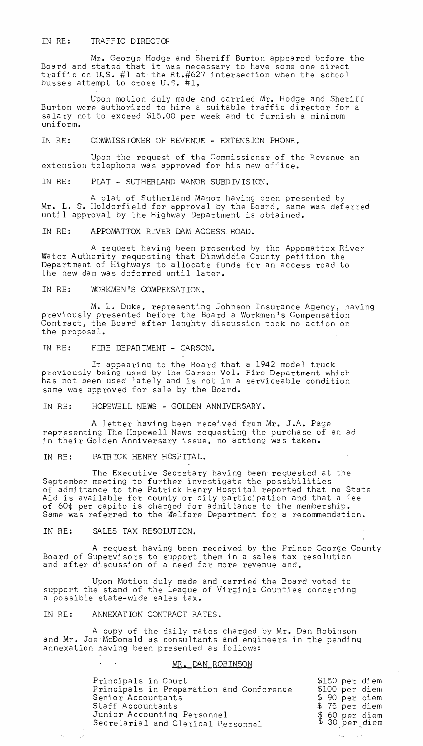## IN RE: TRAFFIC DIRECTOR

Mr. George Hodge and Sheriff Burton appeared before the Board and stated that it was necessary to have some one direct traffic on U.S. #1 at the Rt.#627 intersection when the school busses attempt to cross U.S. #1,

Upon motion duly made and carried Mr. Hodge and Sheriff Burton were authorized to hire a suitable traffic director for a salary not to exceed \$15.00 per week and to furnish a minimum uniform.

IN RE: COMMISSIONER OF REVENUE - EXTENSION PHONE.

Upon the request of the Commissioner of the Pevenue an extension telephone was approved for his new office.

IN RE: PLAT - SUTHERLAND MANOR SUBDIVISION.

A plat of Sutherland Manor having been presented by Mr. L. S. Holderfield for approval by the Board, same was deferred until approval by the-Highway Department is obtained.

IN RE: APPOMATTOX RIVER DAM ACCESS ROAD.

A request having been presented by the Appomattox River Water Authority requesting that Dinwiddie County petition the Department of Highways to allocate funds for an access road to the new dam was deferred until later.

IN RE: WORKMEN'S COMPENSATION.

M. L. Duke, representing Johnson Insurance Agency, having previously presented before the Board a Workmen's Compensation Contract, the Board after lenghty discussion took no action on the proposal.

IN RE: FIRE DEPARTMENT - CARSON.

It appearing to the Board that a 1942 model truck previously being used by the Carson Vol. Fire Department which has not been used lately and is not in a serviceable condition same was approved for sale by the Board.

IN RE: HOPEWELL NEWS - GOLDEN ANNIVERSARY.

A letter having been received from Mr. J.A. Page representing The Hopewell News requesting the purchase of an ad in their Golden Anniversary issue, no actiong was taken.

IN RE: PATRICK HENRY HOSPITAL.

The Executive Secretary having been-requested at the September meeting to further investigate the possibilities of admittance to the Patrick Henry Hospital reported that no State Aid is available for county or city participation and that a fee of 60¢ per capito is charged for admittance to the membership. Same was referred to the Welfare Department for a recommendation.

IN RE: SALES TAX RESOLUTION.

A request having been received by the Prince George County Board of Supervisors to support them in a sales tax resolution and after discussion of a need for more revenue and,

Upon Motion duly made and carried the Board voted to support the stand of the League of Virginia Counties concerning a possible state-wide sales tax.

IN RE: ANNEXATION CONTRACT RATES.

A'copy of the daily rates charged by Mr. Dan Robinson and Mr. Joe'McBonald as consultants and engineers in the pending annexation having been presented as follows:

## MR. DAN ROBINSON

| Principals in Court<br>Principals in Preparation and Conference<br>Senior Accountants<br>Staff Accountants<br>Junior Accounting Personnel | \$150 per diem<br>\$100 per diem<br>\$ 90 per diem<br>\$75 per diem |
|-------------------------------------------------------------------------------------------------------------------------------------------|---------------------------------------------------------------------|
| Secretarial and Clerical Personnel                                                                                                        | \$ 60 per diem<br>\$ 30 per diem                                    |
|                                                                                                                                           | - Valencia v                                                        |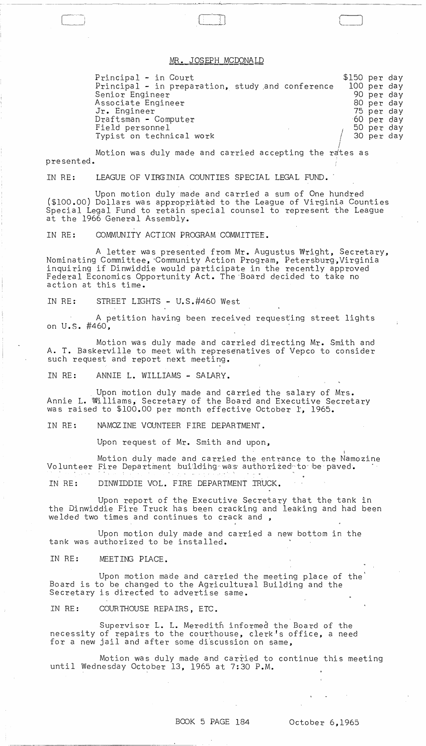## <u>MR. JOSEPH MCDONALD</u>

Principal - in Court Principal - in preparation, study and conference Senior Engineer Associate Engineer Jr. Engineer Draftsman - Computer Field personnel Typist on technical work / \$150 per day 100 per day 90 per day 80 per day 75 per day 60 per day 50 per day 30 per day ļ.

Motion was duly made and presented. carried accepting the rates as

IN RE: LEAGUE OF VIRGINIA COUNTIES SPECIAL LEGAL FUND.

Upon motion duly made and carried a sum of One hundred (\$100.00) Dollars was appropriated to the League of Virginia Counties Special Legal Fund to retain special counsel to represent the League at the 1966 General Assembly.

IN RE: COMMUNITY ACTION PROGRAM COMMITTEE.

A letter was presented from Mr. Augustus Wright, Secretary, Nominating Committee, 'Community Action Program, Petersburg, Virginia inquiring if Dinwiddie would participate in the recently approved Federal Economics Opportunity Act. The 'Board decided to take no action at this time.

IN RE: STREET LIGHTS - U.S.#460 West

~~-~-- -------~ -------

r----~-j i \_\_ ,

A petition having been received requesting street lights on U.S. #460,

Motion was duly made and carried directing Mr. Smith and A. T. Baskerville to meet with represenatives of Vepco to consider such request and report next meeting.

IN RE: ANNIE L. WILLIAMS - SALARY.

Upon motion duly made and carried the salary of Mrs. Annie L. Williams, Secretary of the Board and Executive Secretary was raised to \$100.00 per month effective October 1, 1965.

IN RE: NAMOZINE VOUNTEER FIRE DEPARTMENT.

Upon request of Mr. Smith and upon,

I Motion duly made and carried the entrance to the Namozine Volunteer Fire Department building was authorized to be paved.

IN RE: DINWIDDIE VOL. FIRE DEPARTMENT IRUCK.

Upon report of the Executive Secretary that the tank in the Dinwiddie Fire Truck has been cracking and leaking and had been welded two times and continues to crack and ,

Upon motion duly made and carried a new bottom in the tank was authorized to be installed.

IN RE: MEETING PLACE.

Upon motion made and carried the meeting place of the Board is to be changed to the Agricultural Building and the Secretary is directed to advertise same.

IN RE: COURTHOUSE REPAIRS, ETC.

Supervisor L. L. Meredith informed the Board of the necessity of repairs to the courthouse, clerk's office, a need for a new jail and after some discussion on same,

Motion was duly made and carried to continue this meeting until Wednesday October 13, 1965 at 7:30 P.M.